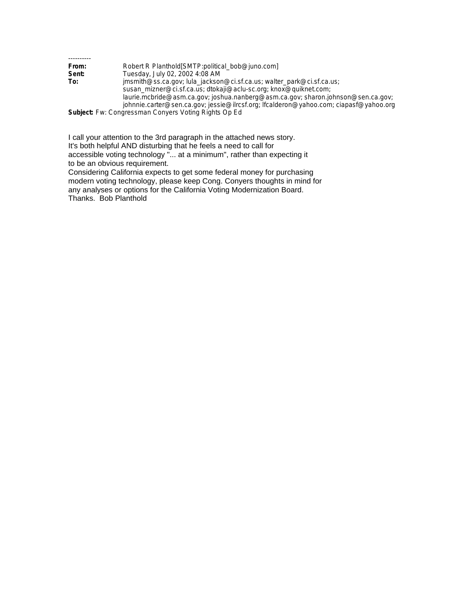| Robert R Planthold [SMTP: political bob@juno.com]                                     |
|---------------------------------------------------------------------------------------|
| Tuesday, July 02, 2002 4:08 AM                                                        |
| jmsmith@ss.ca.gov; lula_jackson@ci.sf.ca.us; walter_park@ci.sf.ca.us;                 |
| susan_mizner@ci.sf.ca.us; dtokaji@aclu-sc.org; knox@quiknet.com;                      |
| laurie.mcbride@asm.ca.gov; joshua.nanberg@asm.ca.gov; sharon.johnson@sen.ca.gov;      |
| johnnie.carter@sen.ca.gov; jessie@ilrcsf.org; lfcalderon@yahoo.com; ciapasf@yahoo.org |
|                                                                                       |

**Subject:** Fw: Congressman Conyers Voting Rights Op Ed

I call your attention to the 3rd paragraph in the attached news story. It's both helpful AND disturbing that he feels a need to call for accessible voting technology "... at a minimum", rather than expecting it to be an obvious requirement.

Considering California expects to get some federal money for purchasing modern voting technology, please keep Cong. Conyers thoughts in mind for any analyses or options for the California Voting Modernization Board. Thanks. Bob Planthold